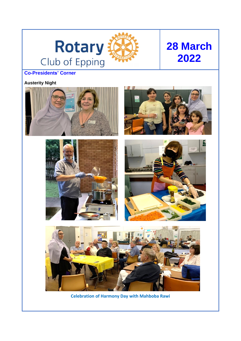

# **28 March 2022**

# **Co-Presidents' Corner**

### **Austerity Night**











**Celebration of Harmony Day with Mahboba Rawi**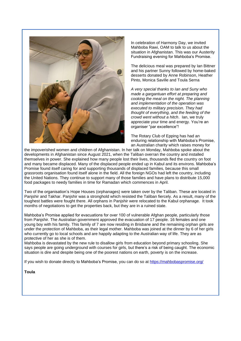

In celebration of Harmony Day, we invited Mahboba Rawi, OAM to talk to us about the situation in Afghanistan. This was our Austerity Fundraising evening for Mahboba's Promise.

The delicious meal was prepared by Ian Bittner and his partner Sunny followed by home-baked desserts donated by Anne Robinson, Heather Pinto, Monica Saville and Toula Serna

*A very special thanks to Ian and Suny who made a gargantuan effort at preparing and cooking the meal on the night. The planning and implementation of the operation was executed to military precision. They had thought of everything, and the feeding of the crowd went without a hitch*. Ian, we truly appreciate your time and energy. You're an organiser "par excellence"!

The Rotary Club of Epping has had an enduring relationship with Mahboba's Promise, an Australian charity which raises money for

the impoverished women and children of Afghanistan. In her talk on Monday, Mahboba spoke about the developments in Afghanistan since August 2021, when the Taliban overran the country and installed themselves in power. She explained how many people lost their lives, thousands fled the country on foot and many became displaced. Many of the displaced people ended up in Kabul and its environs. Mahboba's Promise found itself caring for and supporting thousands of displaced families, because this small grassroots organisation found itself alone in the field. All the foreign NGOs had left the country, including the United Nations. They continue to support many of those families and have plans to distribute 15,000 food packages to needy families in time for Ramadan which commences in April.

Two of the organisation's Hope Houses (orphanages) were taken over by the Taliban. These are located in Panjshir and Takhar. Panjshir was a stronghold which resisted the Taliban fiercely. As a result, many of the toughest battles were fought there. All orphans in Panjshir were relocated to the Kabul orphanage. It took months of negotiations to get the properties back, but they are in a ruined state.

Mahboba's Promise applied for evacuations for over 100 of vulnerable Afghan people, particularly those from Panjshir. The Australian government approved the evacuation of 17 people. 16 females and one young boy with his family. This family of 7 are now residing in Brisbane and the remaining orphan girls are under the protection of Mahboba, as their legal mother. Mahboba was joined at the dinner by 6 of her girls who currently go to local schools and are happily adapting to the Australian way of life. They are as protective of her as she is of them.

Mahboba is devastated by the new rule to disallow girls from education beyond primary schooling. She says people are going underground with courses for girls, but there's a risk of being caught. The economic situation is dire and despite being one of the poorest nations on earth, poverty is on the increase.

If you wish to donate directly to Mahboba's Promise, you can do so at [https://mahbobaspromise.org/](about:blank)

**Toula**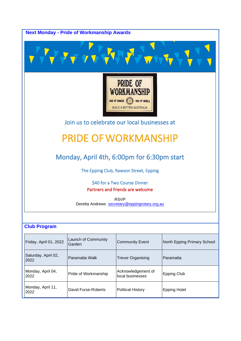

| Friday, April 01, 2022      | Launch of Community<br>Garden | <b>Community Event</b>                 | North Epping Primary School |
|-----------------------------|-------------------------------|----------------------------------------|-----------------------------|
| Saturday, April 02,<br>2022 | Paramatta Walk                | <b>Trevor Organising</b>               | l Paramatta                 |
| Monday, April 04,<br>2022   | Pride of Workmanship          | Acknowledgement of<br>local businesses | <b>Epping Club</b>          |
| Monday, April 11,<br>2022   | David Furse-Roberts           | <b>Political History</b>               | <b>Epping Hotel</b>         |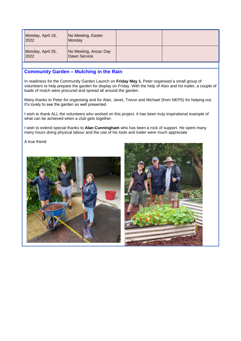| Monday, April 18,<br>2022 | No Meeting, Easter<br>Monday          |  |
|---------------------------|---------------------------------------|--|
| Monday, April 25,<br>2022 | No Meeting, Anzac Day<br>Dawn Service |  |

#### **Community Garden – Mulching in the Rain**

In readiness for the Community Garden Launch on **Friday May 1**, Peter organised a small group of volunteers to help prepare the garden for display on Friday. With the help of Alan and his trailer, a couple of loads of mulch were procured and spread all around the garden.

Many thanks to Peter for organising and for Alan, Janet, Trevor and Michael (from NEPS) for helping out. It's lovely to see the garden so well presented.

I wish to thank ALL the volunteers who worked on this project. It has been truly inspirational example of what can be achieved when a club gets together.

I wish to extend special thanks to **Alan Cunningham** who has been a rock of support. He spent many many hours doing physical labour and the use of his tools and trailer were much appreciate

A true friend

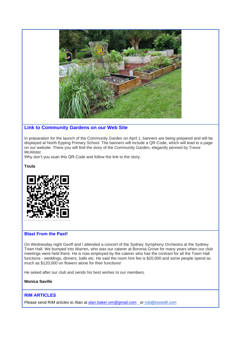

#### **Link to Community Gardens on our Web Site**

In preparation for the launch of the Community Garden on April 1, banners are being prepared and will be displayed at North Epping Primary School. The banners will include a QR-Code, which will lead to a page on our website. There you will find the story of the Community Garden, elegantly penned by Trevor McAlister.

Why don't you scan this QR-Code and follow the link to the story.

**Toula**



#### **Blast From the Past!**

On Wednesday night Geoff and I attended a concert of the Sydney Symphony Orchestra at the Sydney Town Hall. We bumped into Warren, who was our caterer at Boronia Grove for many years when our club meetings were held there. He is now employed by the caterer who has the contract for all the Town Hall functions - weddings, dinners, balls etc. He said the room hire fee is \$20,000 and some people spend as much as \$120,000 on flowers alone for their functions!

He asked after our club and sends his best wishes to our members.

**Monica Saville**

#### **RIM ARTICLES**

Please send RIM articles to Alan at [alan.baker.om@gmail.com](mailto:alan.baker.om@gmail.com) or rob@tosswill.com